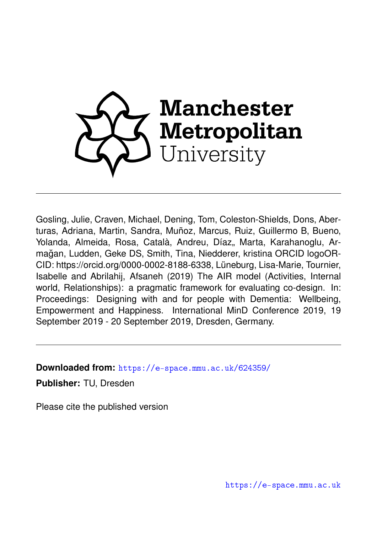

Gosling, Julie, Craven, Michael, Dening, Tom, Coleston-Shields, Dons, Aberturas, Adriana, Martin, Sandra, Muñoz, Marcus, Ruiz, Guillermo B, Bueno, Yolanda, Almeida, Rosa, Català, Andreu, Díaz,, Marta, Karahanoglu, Armagan, Ludden, Geke DS, Smith, Tina, Niedderer, kristina ORCID logoOR- ˘ CID: https://orcid.org/0000-0002-8188-6338, Lüneburg, Lisa-Marie, Tournier, Isabelle and Abrilahij, Afsaneh (2019) The AIR model (Activities, Internal world. Relationships): a pragmatic framework for evaluating co-design. In: Proceedings: Designing with and for people with Dementia: Wellbeing, Empowerment and Happiness. International MinD Conference 2019, 19 September 2019 - 20 September 2019, Dresden, Germany.

**Downloaded from:** <https://e-space.mmu.ac.uk/624359/>

**Publisher:** TU, Dresden

Please cite the published version

<https://e-space.mmu.ac.uk>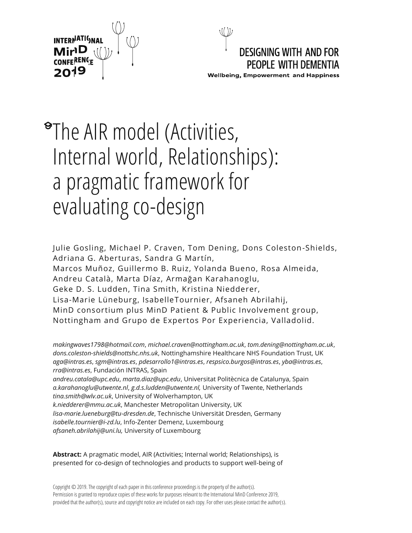



# The AIR model (Activities, Internal world, Relationships): a pragmatic framework for evaluating co-design

Julie Gosling, Michael P. Craven, Tom Dening, Dons Coleston-Shields, Adriana G. Aberturas, Sandra G Martín, Marcos Muñoz, Guillermo B. Ruiz, Yolanda Bueno, Rosa Almeida, Andreu Català, Marta Díaz, Armağan Karahanoglu, Geke D. S. Ludden, Tina Smith, Kristina Niedderer, Lisa-Marie Lüneburg, IsabelleTournier, Afsaneh Abrilahij, MinD consortium plus MinD Patient & Public Involvement group, Nottingham and Grupo de Expertos Por Experiencia, Valladolid.

*makingwaves1798@hotmail.com*, *michael.craven@nottingham.ac.uk*, *tom.dening@nottingham.ac.uk*, *dons.coleston-shields@nottshc.nhs.uk*, Nottinghamshire Healthcare NHS Foundation Trust, UK *aga@intras.es*, *sgm@intras.es*, *pdesarrollo1@intras.es*, *respsico.burgos@intras.es*, *yba@intras.es*, *rra@intras.es*, Fundación INTRAS, Spain *andreu.catala@upc.edu*, *marta.diaz@upc.edu*, Universitat Politècnica de Catalunya, Spain *a.karahanoglu@utwente.nl*, *g.d.s.ludden@utwente.nl,* University of Twente, Netherlands *tina.smith@wlv.ac.uk*, University of Wolverhampton, UK *k.niedderer@mmu.ac.uk*, Manchester Metropolitan University, UK *lisa-marie.lueneburg@tu-dresden.de*, Technische Universität Dresden, Germany *isabelle.tournier@i-zd.lu*, Info-Zenter Demenz, Luxembourg *afsaneh.abrilahij@uni.lu,* University of Luxembourg

**Abstract:** A pragmatic model, AIR (Activities; Internal world; Relationships), is presented for co-design of technologies and products to support well-being of

Copyright © 2019. The copyright of each paper in this conference proceedings is the property of the author(s). Permission is granted to reproduce copies of these works for purposes relevant to the International MinD Conference 2019, provided that the author(s), source and copyright notice are included on each copy. For other uses please contact the author(s).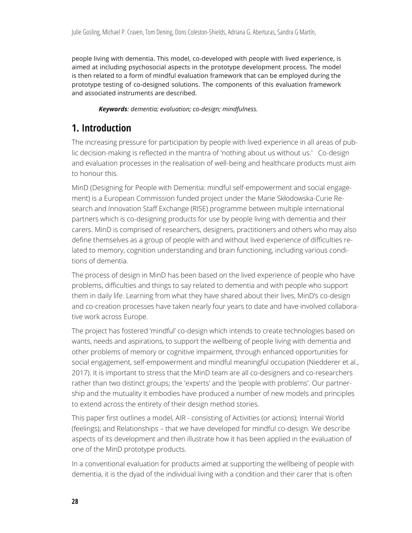people living with dementia. This model, co-developed with people with lived experience, is aimed at including psychosocial aspects in the prototype development process. The model is then related to a form of mindful evaluation framework that can be employed during the prototype testing of co-designed solutions. The components of this evaluation framework and associated instruments are described.

*Keywords: dementia; evaluation; co-design; mindfulness.* 

## **1. Introduction**

The increasing pressure for participation by people with lived experience in all areas of public decision-making is reflected in the mantra of 'nothing about us without us.' Co-design and evaluation processes in the realisation of well-being and healthcare products must aim to honour this.

MinD (Designing for People with Dementia: mindful self-empowerment and social engagement) is a European Commission funded project under the Marie Skłodowska-Curie Research and Innovation Staff Exchange (RISE) programme between multiple international partners which is co-designing products for use by people living with dementia and their carers. MinD is comprised of researchers, designers, practitioners and others who may also define themselves as a group of people with and without lived experience of difficulties related to memory, cognition understanding and brain functioning, including various conditions of dementia.

The process of design in MinD has been based on the lived experience of people who have problems, difficulties and things to say related to dementia and with people who support them in daily life. Learning from what they have shared about their lives, MinD's co-design and co-creation processes have taken nearly four years to date and have involved collaborative work across Europe.

The project has fostered 'mindful' co-design which intends to create technologies based on wants, needs and aspirations, to support the wellbeing of people living with dementia and other problems of memory or cognitive impairment, through enhanced opportunities for social engagement, self-empowerment and mindful meaningful occupation (Niedderer et al., 2017). It is important to stress that the MinD team are all co-designers and co-researchers rather than two distinct groups; the 'experts' and the 'people with problems'. Our partnership and the mutuality it embodies have produced a number of new models and principles to extend across the entirety of their design method stories.

This paper first outlines a model, AIR - consisting of Activities (or actions); Internal World (feelings); and Relationships – that we have developed for mindful co-design. We describe aspects of its development and then illustrate how it has been applied in the evaluation of one of the MinD prototype products.

In a conventional evaluation for products aimed at supporting the wellbeing of people with dementia, it is the dyad of the individual living with a condition and their carer that is often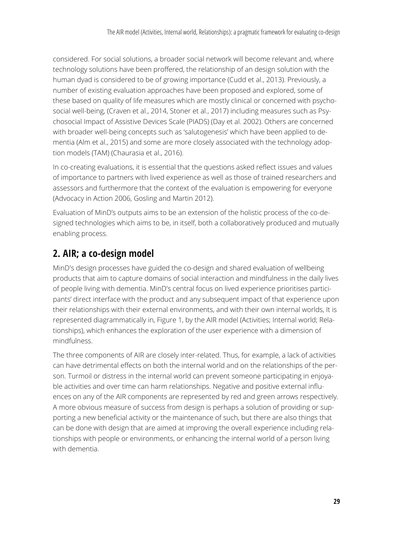considered. For social solutions, a broader social network will become relevant and, where technology solutions have been proffered, the relationship of an design solution with the human dyad is considered to be of growing importance (Cudd et al., 2013). Previously, a number of existing evaluation approaches have been proposed and explored, some of these based on quality of life measures which are mostly clinical or concerned with psychosocial well-being, (Craven et al., 2014, Stoner et al., 2017) including measures such as Psychosocial Impact of Assistive Devices Scale (PIADS) (Day et al. 2002). Others are concerned with broader well-being concepts such as 'salutogenesis' which have been applied to dementia (Alm et al., 2015) and some are more closely associated with the technology adoption models (TAM) (Chaurasia et al., 2016).

In co-creating evaluations, it is essential that the questions asked reflect issues and values of importance to partners with lived experience as well as those of trained researchers and assessors and furthermore that the context of the evaluation is empowering for everyone (Advocacy in Action 2006, Gosling and Martin 2012).

Evaluation of MinD's outputs aims to be an extension of the holistic process of the co-designed technologies which aims to be, in itself, both a collaboratively produced and mutually enabling process.

### **2. AIR; a co-design model**

MinD's design processes have guided the co-design and shared evaluation of wellbeing products that aim to capture domains of social interaction and mindfulness in the daily lives of people living with dementia. MinD's central focus on lived experience prioritises participants' direct interface with the product and any subsequent impact of that experience upon their relationships with their external environments, and with their own internal worlds, It is represented diagrammatically in, Figure 1, by the AIR model (Activities; Internal world; Relationships), which enhances the exploration of the user experience with a dimension of mindfulness.

The three components of AIR are closely inter-related. Thus, for example, a lack of activities can have detrimental effects on both the internal world and on the relationships of the person. Turmoil or distress in the internal world can prevent someone participating in enjoyable activities and over time can harm relationships. Negative and positive external influences on any of the AIR components are represented by red and green arrows respectively. A more obvious measure of success from design is perhaps a solution of providing or supporting a new beneficial activity or the maintenance of such, but there are also things that can be done with design that are aimed at improving the overall experience including relationships with people or environments, or enhancing the internal world of a person living with dementia.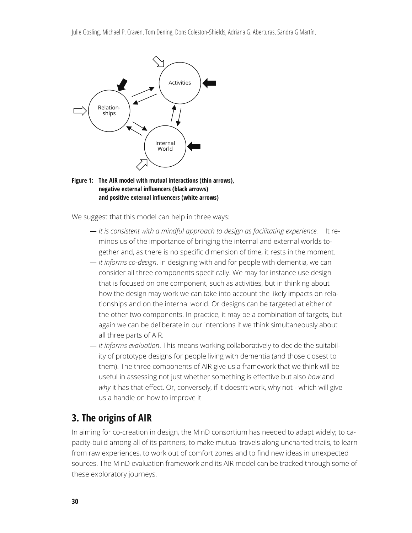



We suggest that this model can help in three ways:

- *it is consistent with a mindful approach to design as facilitating experience.* It reminds us of the importance of bringing the internal and external worlds together and, as there is no specific dimension of time, it rests in the moment.
- *it informs co-design*. In designing with and for people with dementia, we can consider all three components specifically. We may for instance use design that is focused on one component, such as activities, but in thinking about how the design may work we can take into account the likely impacts on relationships and on the internal world. Or designs can be targeted at either of the other two components. In practice, it may be a combination of targets, but again we can be deliberate in our intentions if we think simultaneously about all three parts of AIR.
- *it informs evaluation*. This means working collaboratively to decide the suitability of prototype designs for people living with dementia (and those closest to them). The three components of AIR give us a framework that we think will be useful in assessing not just whether something is effective but also *how* and *why* it has that effect. Or, conversely, if it doesn't work, why not - which will give us a handle on how to improve it

#### **3. The origins of AIR**

In aiming for co-creation in design, the MinD consortium has needed to adapt widely; to capacity-build among all of its partners, to make mutual travels along uncharted trails, to learn from raw experiences, to work out of comfort zones and to find new ideas in unexpected sources. The MinD evaluation framework and its AIR model can be tracked through some of these exploratory journeys.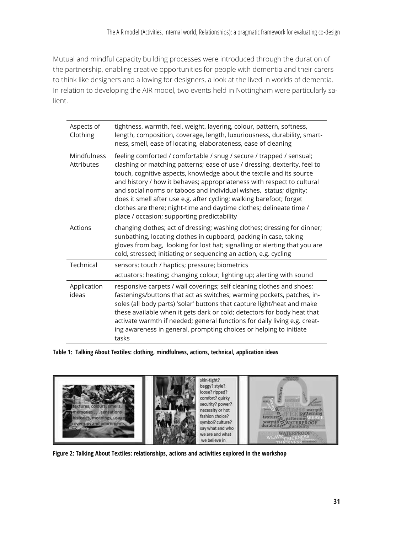Mutual and mindful capacity building processes were introduced through the duration of the partnership, enabling creative opportunities for people with dementia and their carers to think like designers and allowing for designers, a look at the lived in worlds of dementia. In relation to developing the AIR model, two events held in Nottingham were particularly salient.

| Aspects of<br>Clothing    | tightness, warmth, feel, weight, layering, colour, pattern, softness,<br>length, composition, coverage, length, luxuriousness, durability, smart-<br>ness, smell, ease of locating, elaborateness, ease of cleaning                                                                                                                                                                                                                                                                                                                                                     |
|---------------------------|-------------------------------------------------------------------------------------------------------------------------------------------------------------------------------------------------------------------------------------------------------------------------------------------------------------------------------------------------------------------------------------------------------------------------------------------------------------------------------------------------------------------------------------------------------------------------|
| Mindfulness<br>Attributes | feeling comforted / comfortable / snug / secure / trapped / sensual;<br>clashing or matching patterns; ease of use / dressing, dexterity, feel to<br>touch, cognitive aspects, knowledge about the textile and its source<br>and history / how it behaves; appropriateness with respect to cultural<br>and social norms or taboos and individual wishes, status; dignity;<br>does it smell after use e.g. after cycling; walking barefoot; forget<br>clothes are there; night-time and daytime clothes; delineate time /<br>place / occasion; supporting predictability |
| Actions                   | changing clothes; act of dressing; washing clothes; dressing for dinner;<br>sunbathing, locating clothes in cupboard, packing in case, taking<br>gloves from bag, looking for lost hat; signalling or alerting that you are<br>cold, stressed; initiating or sequencing an action, e.g. cycling                                                                                                                                                                                                                                                                         |
| Technical                 | sensors: touch / haptics; pressure; biometrics<br>actuators: heating; changing colour; lighting up; alerting with sound                                                                                                                                                                                                                                                                                                                                                                                                                                                 |
| Application<br>ideas      | responsive carpets / wall coverings; self cleaning clothes and shoes;<br>fastenings/buttons that act as switches; warming pockets, patches, in-<br>soles (all body parts) 'solar' buttons that capture light/heat and make<br>these available when it gets dark or cold; detectors for body heat that<br>activate warmth if needed; general functions for daily living e.g. creat-<br>ing awareness in general, prompting choices or helping to initiate<br>tasks                                                                                                       |

**Table 1: Talking About Textiles: clothing, mindfulness, actions, technical, application ideas** 



**Figure 2: Talking About Textiles: relationships, actions and activities explored in the workshop**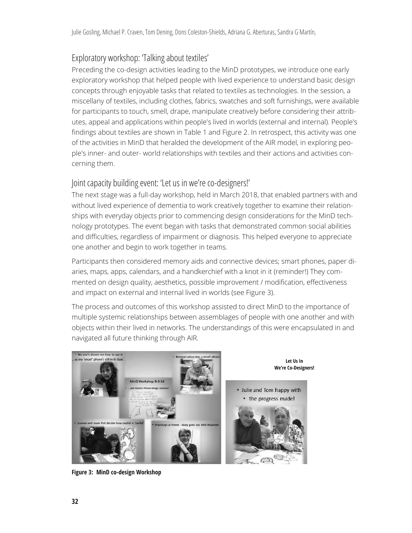#### Exploratory workshop: 'Talking about textiles'

Preceding the co-design activities leading to the MinD prototypes, we introduce one early exploratory workshop that helped people with lived experience to understand basic design concepts through enjoyable tasks that related to textiles as technologies. In the session, a miscellany of textiles, including clothes, fabrics, swatches and soft furnishings, were available for participants to touch, smell, drape, manipulate creatively before considering their attributes, appeal and applications within people's lived in worlds (external and internal). People's findings about textiles are shown in Table 1 and Figure 2. In retrospect, this activity was one of the activities in MinD that heralded the development of the AIR model, in exploring people's inner- and outer- world relationships with textiles and their actions and activities concerning them.

#### Joint capacity building event: 'Let us in we're co-designers!'

The next stage was a full-day workshop, held in March 2018, that enabled partners with and without lived experience of dementia to work creatively together to examine their relationships with everyday objects prior to commencing design considerations for the MinD technology prototypes. The event began with tasks that demonstrated common social abilities and difficulties, regardless of impairment or diagnosis. This helped everyone to appreciate one another and begin to work together in teams.

Participants then considered memory aids and connective devices; smart phones, paper diaries, maps, apps, calendars, and a handkerchief with a knot in it (reminder!) They commented on design quality, aesthetics, possible improvement / modification, effectiveness and impact on external and internal lived in worlds (see Figure 3).

The process and outcomes of this workshop assisted to direct MinD to the importance of multiple systemic relationships between assemblages of people with one another and with objects within their lived in networks. The understandings of this were encapsulated in and navigated all future thinking through AIR.



**Figure 3: MinD co-design Workshop**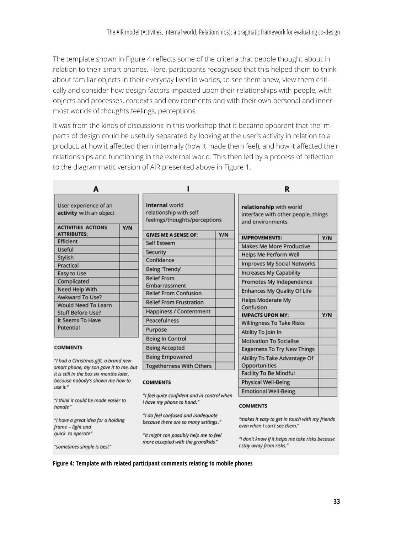The template shown in Figure 4 reflects some of the criteria that people thought about in relation to their smart phones. Here, participants recognised that this helped them to think about familiar objects in their everyday lived in worlds, to see them anew, view them critically and consider how design factors impacted upon their relationships with people, with objects and processes, contexts and environments and with their own personal and innermost worlds of thoughts feelings, perceptions.

It was from the kinds of discussions in this workshop that it became apparent that the impacts of design could be usefully separated by looking at the user's activity in relation to a product, at how it affected them internally (how it made them feel), and how it affected their relationships and functioning in the external world. This then led by a process of reflection to the diagrammatic version of AIR presented above in Figure 1.

| А                                                                                  |                                                                                  | R                                                                                  |
|------------------------------------------------------------------------------------|----------------------------------------------------------------------------------|------------------------------------------------------------------------------------|
| User experience of an<br>activity with an object<br><b>ACTIVITIES ACTIONS</b>      | internal world<br>relationship with self<br>feelings/thoughts/perceptions<br>Y/N | relationship with world<br>interface with other people, things<br>and environments |
| <b>ATTRIBUTES:</b>                                                                 | <b>GIVES ME A SENSE OF:</b>                                                      | Y/N<br><b>IMPROVEMENTS:</b><br>Y/N                                                 |
| Efficient                                                                          | Self Esteem                                                                      | <b>Makes Me More Productive</b>                                                    |
| Useful                                                                             | Security                                                                         | Helps Me Perform Well                                                              |
| Stylish                                                                            | Confidence                                                                       | <b>Improves My Social Networks</b>                                                 |
| Practical                                                                          | Being 'Trendy'                                                                   |                                                                                    |
| Easy to Use                                                                        | <b>Relief From</b>                                                               | Increases My Capability                                                            |
| Complicated                                                                        | Embarrassment                                                                    | Promotes My Independence                                                           |
| Need Help With<br>Awkward To Use?                                                  | <b>Relief From Confusion</b>                                                     | Enhances My Quality Of Life                                                        |
| <b>Would Need To Learn</b>                                                         | <b>Relief From Frustration</b>                                                   | <b>Helps Moderate My</b>                                                           |
| <b>Stuff Before Use?</b>                                                           | Happiness / Contentment                                                          | Confusion                                                                          |
| It Seems To Have                                                                   | Peacefulness                                                                     | Y/N<br><b>IMPACTS UPON MY:</b><br><b>Willingness To Take Risks</b>                 |
| Potential                                                                          | Purpose                                                                          |                                                                                    |
|                                                                                    | Being In Control                                                                 | Ability To Join In                                                                 |
| <b>COMMENTS</b>                                                                    | <b>Being Accepted</b>                                                            | <b>Motivation To Socialise</b>                                                     |
|                                                                                    |                                                                                  | Eagerness To Try New Things                                                        |
| "I had a Christmas gift, a brand new                                               | <b>Being Empowered</b>                                                           | Ability To Take Advantage Of                                                       |
| smart phone, my son gave it to me, but<br>it is still in the box six months later. | <b>Togetherness With Others</b>                                                  | Opportunities<br><b>Facility To Be Mindful</b>                                     |
| because nobody's shown me how to                                                   | <b>COMMENTS</b>                                                                  |                                                                                    |
| use it."                                                                           |                                                                                  | <b>Physical Well-Being</b>                                                         |
|                                                                                    | "I feel quite confident and in control when                                      | <b>Emotional Well-Being</b>                                                        |
| "I think it could be made easier to<br>handle"                                     | I have my phone to hand."                                                        | <b>COMMENTS</b>                                                                    |
| "I have a great idea for a holding<br>frame - light and                            | "I do feel confused and inadequate<br>because there are so many settings."       | "makes it easy to get in touch with my friends<br>even when I can't see them."     |
| quick to operate"                                                                  | "It might can possibly help me to feel<br>more accepted with the grandkids"      | "I don't know if it helps me take risks because                                    |

"sometimes simple is best"

I stay away from risks."

**Figure 4: Template with related participant comments relating to mobile phones**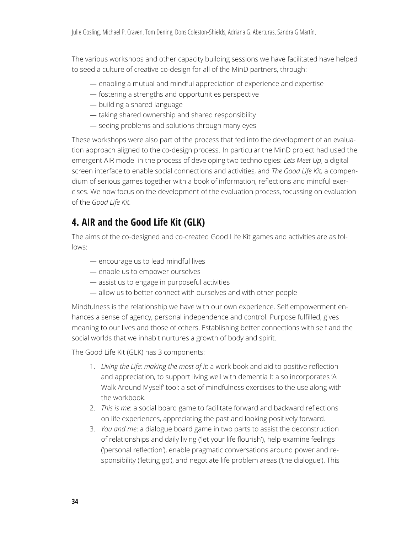The various workshops and other capacity building sessions we have facilitated have helped to seed a culture of creative co-design for all of the MinD partners, through:

- enabling a mutual and mindful appreciation of experience and expertise
- fostering a strengths and opportunities perspective
- building a shared language
- taking shared ownership and shared responsibility
- seeing problems and solutions through many eyes

These workshops were also part of the process that fed into the development of an evaluation approach aligned to the co-design process. In particular the MinD project had used the emergent AIR model in the process of developing two technologies: *Lets Meet Up*, a digital screen interface to enable social connections and activities, and *The Good Life Kit,* a compendium of serious games together with a book of information, reflections and mindful exercises. We now focus on the development of the evaluation process, focussing on evaluation of the *Good Life Kit*.

## **4. AIR and the Good Life Kit (GLK)**

The aims of the co-designed and co-created Good Life Kit games and activities are as follows:

- encourage us to lead mindful lives
- enable us to empower ourselves
- assist us to engage in purposeful activities
- allow us to better connect with ourselves and with other people

Mindfulness is the relationship we have with our own experience. Self empowerment enhances a sense of agency, personal independence and control. Purpose fulfilled, gives meaning to our lives and those of others. Establishing better connections with self and the social worlds that we inhabit nurtures a growth of body and spirit.

The Good Life Kit (GLK) has 3 components:

- 1. *Living the Life: making the most of it*: a work book and aid to positive reflection and appreciation, to support living well with dementia It also incorporates 'A Walk Around Myself' tool: a set of mindfulness exercises to the use along with the workbook.
- 2. *This is me*: a social board game to facilitate forward and backward reflections on life experiences, appreciating the past and looking positively forward.
- 3. *You and me*: a dialogue board game in two parts to assist the deconstruction of relationships and daily living ('let your life flourish'), help examine feelings ('personal reflection'), enable pragmatic conversations around power and responsibility ('letting go'), and negotiate life problem areas ('the dialogue'). This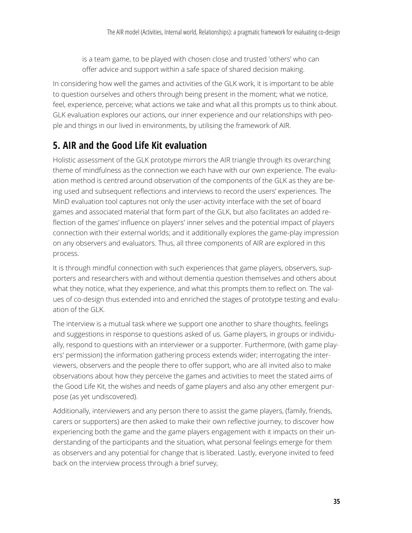is a team game, to be played with chosen close and trusted 'others' who can offer advice and support within a safe space of shared decision making.

In considering how well the games and activities of the GLK work, it is important to be able to question ourselves and others through being present in the moment; what we notice, feel, experience, perceive; what actions we take and what all this prompts us to think about. GLK evaluation explores our actions, our inner experience and our relationships with people and things in our lived in environments, by utilising the framework of AIR.

## **5. AIR and the Good Life Kit evaluation**

Holistic assessment of the GLK prototype mirrors the AIR triangle through its overarching theme of mindfulness as the connection we each have with our own experience. The evaluation method is centred around observation of the components of the GLK as they are being used and subsequent reflections and interviews to record the users' experiences. The MinD evaluation tool captures not only the user-activity interface with the set of board games and associated material that form part of the GLK, but also facilitates an added reflection of the games' influence on players' inner selves and the potential impact of players connection with their external worlds; and it additionally explores the game-play impression on any observers and evaluators. Thus, all three components of AIR are explored in this process.

It is through mindful connection with such experiences that game players, observers, supporters and researchers with and without dementia question themselves and others about what they notice, what they experience, and what this prompts them to reflect on. The values of co-design thus extended into and enriched the stages of prototype testing and evaluation of the GLK.

The interview is a mutual task where we support one another to share thoughts, feelings and suggestions in response to questions asked of us. Game players, in groups or individually, respond to questions with an interviewer or a supporter. Furthermore, (with game players' permission) the information gathering process extends wider; interrogating the interviewers, observers and the people there to offer support, who are all invited also to make observations about how they perceive the games and activities to meet the stated aims of the Good Life Kit, the wishes and needs of game players and also any other emergent purpose (as yet undiscovered).

Additionally, interviewers and any person there to assist the game players, (family, friends, carers or supporters) are then asked to make their own reflective journey, to discover how experiencing both the game and the game players engagement with it impacts on their understanding of the participants and the situation, what personal feelings emerge for them as observers and any potential for change that is liberated. Lastly, everyone invited to feed back on the interview process through a brief survey,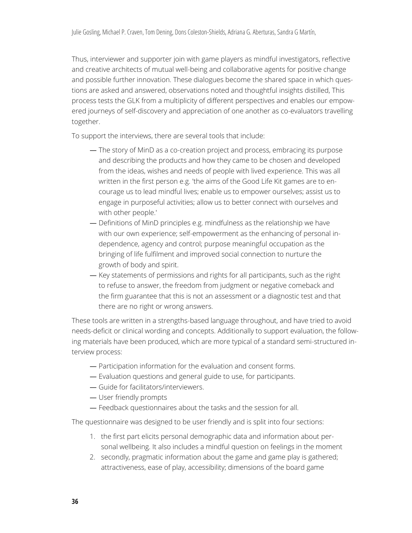Thus, interviewer and supporter join with game players as mindful investigators, reflective and creative architects of mutual well-being and collaborative agents for positive change and possible further innovation. These dialogues become the shared space in which questions are asked and answered, observations noted and thoughtful insights distilled, This process tests the GLK from a multiplicity of different perspectives and enables our empowered journeys of self-discovery and appreciation of one another as co-evaluators travelling together.

To support the interviews, there are several tools that include:

- The story of MinD as a co-creation project and process, embracing its purpose and describing the products and how they came to be chosen and developed from the ideas, wishes and needs of people with lived experience. This was all written in the first person e.g. 'the aims of the Good Life Kit games are to encourage us to lead mindful lives; enable us to empower ourselves; assist us to engage in purposeful activities; allow us to better connect with ourselves and with other people.'
- Definitions of MinD principles e.g. mindfulness as the relationship we have with our own experience; self-empowerment as the enhancing of personal independence, agency and control; purpose meaningful occupation as the bringing of life fulfilment and improved social connection to nurture the growth of body and spirit.
- Key statements of permissions and rights for all participants, such as the right to refuse to answer, the freedom from judgment or negative comeback and the firm guarantee that this is not an assessment or a diagnostic test and that there are no right or wrong answers.

These tools are written in a strengths-based language throughout, and have tried to avoid needs-deficit or clinical wording and concepts. Additionally to support evaluation, the following materials have been produced, which are more typical of a standard semi-structured interview process:

- Participation information for the evaluation and consent forms.
- Evaluation questions and general guide to use, for participants.
- Guide for facilitators/interviewers.
- User friendly prompts
- Feedback questionnaires about the tasks and the session for all.

The questionnaire was designed to be user friendly and is split into four sections:

- 1. the first part elicits personal demographic data and information about personal wellbeing. It also includes a mindful question on feelings in the moment
- 2. secondly, pragmatic information about the game and game play is gathered; attractiveness, ease of play, accessibility; dimensions of the board game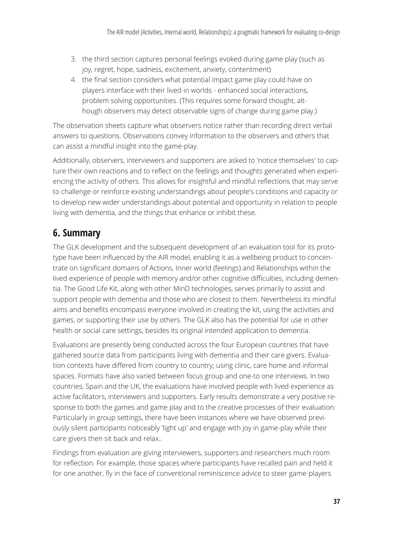- 3. the third section captures personal feelings evoked during game play (such as joy, regret, hope, sadness, excitement, anxiety, contentment)
- 4. the final section considers what potential impact game play could have on players interface with their lived-in worlds - enhanced social interactions, problem solving opportunities. (This requires some forward thought, although observers may detect observable signs of change during game play.)

The observation sheets capture what observers notice rather than recording direct verbal answers to questions. Observations convey information to the observers and others that can assist a mindful insight into the game-play.

Additionally, observers, interviewers and supporters are asked to 'notice themselves' to capture their own reactions and to reflect on the feelings and thoughts generated when experiencing the activity of others. This allows for insightful and mindful reflections that may serve to challenge or reinforce existing understandings about people's conditions and capacity or to develop new wider understandings about potential and opportunity in relation to people living with dementia, and the things that enhance or inhibit these.

# **6. Summary**

The GLK development and the subsequent development of an evaluation tool for its prototype have been influenced by the AIR model, enabling it as a wellbeing product to concentrate on significant domains of Actions, Inner world (feelings) and Relationships within the lived experience of people with memory and/or other cognitive difficulties, including dementia. The Good Life Kit, along with other MinD technologies, serves primarily to assist and support people with dementia and those who are closest to them. Nevertheless its mindful aims and benefits encompass everyone involved in creating the kit, using the activities and games, or supporting their use by others. The GLK also has the potential for use in other health or social care settings, besides its original intended application to dementia.

Evaluations are presently being conducted across the four European countries that have gathered source data from participants living with dementia and their care givers. Evaluation contexts have differed from country to country; using clinic, care home and informal spaces. Formats have also varied between focus group and one-to one interviews. In two countries, Spain and the UK, the evaluations have involved people with lived experience as active facilitators, interviewers and supporters. Early results demonstrate a very positive response to both the games and game play and to the creative processes of their evaluation. Particularly in group settings, there have been instances where we have observed previously silent participants noticeably 'light up' and engage with joy in game-play while their care givers then sit back and relax..

Findings from evaluation are giving interviewers, supporters and researchers much room for reflection. For example, those spaces where participants have recalled pain and held it for one another, fly in the face of conventional reminiscence advice to steer game-players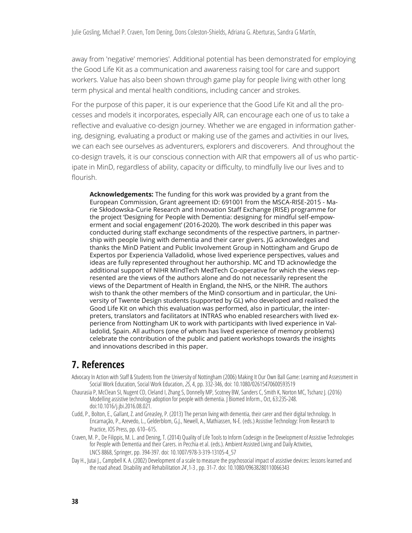away from 'negative' memories'. Additional potential has been demonstrated for employing the Good Life Kit as a communication and awareness raising tool for care and support workers. Value has also been shown through game play for people living with other long term physical and mental health conditions, including cancer and strokes.

For the purpose of this paper, it is our experience that the Good Life Kit and all the processes and models it incorporates, especially AIR, can encourage each one of us to take a reflective and evaluative co-design journey. Whether we are engaged in information gathering, designing, evaluating a product or making use of the games and activities in our lives, we can each see ourselves as adventurers, explorers and discoverers. And throughout the co-design travels, it is our conscious connection with AIR that empowers all of us who participate in MinD, regardless of ability, capacity or difficulty, to mindfully live our lives and to flourish.

**Acknowledgements:** The funding for this work was provided by a grant from the European Commission, Grant agreement ID: 691001 from the MSCA-RISE-2015 - Marie Skłodowska-Curie Research and Innovation Staff Exchange (RISE) programme for the project 'Designing for People with Dementia: designing for mindful self-empowerment and social engagement' (2016-2020). The work described in this paper was conducted during staff exchange secondments of the respective partners, in partnership with people living with dementia and their carer givers. JG acknowledges and thanks the MinD Patient and Public Involvement Group in Nottingham and Grupo de Expertos por Experiencia Valladolid, whose lived experience perspectives, values and ideas are fully represented throughout her authorship. MC and TD acknowledge the additional support of NIHR MindTech MedTech Co-operative for which the views represented are the views of the authors alone and do not necessarily represent the views of the Department of Health in England, the NHS, or the NIHR. The authors wish to thank the other members of the MinD consortium and in particular, the University of Twente Design students (supported by GL) who developed and realised the Good Life Kit on which this evaluation was performed, also in particular, the interpreters, translators and facilitators at INTRAS who enabled researchers with lived experience from Nottingham UK to work with participants with lived experience in Valladolid, Spain. All authors (one of whom has lived experience of memory problems) celebrate the contribution of the public and patient workshops towards the insights and innovations described in this paper.

#### **7. References**

- Advocacy In Action with Staff & Students from the University of Nottingham (2006) Making It Our Own Ball Game: Learning and Assessment in Social Work Education, Social Work Education, *25*, 4, pp. 332-346, doi: 10.1080/02615470600593519
- Chaurasia P, McClean SI, Nugent CD, Cleland I, Zhang S, Donnelly MP, Scotney BW, Sanders C, Smith K, Norton MC, Tschanz J. (2016) Modelling assistive technology adoption for people with dementia. J Biomed Inform., Oct, 63:235-248. doi:10.1016/j.jbi.2016.08.021.
- Cudd, P., Bolton, E., Gallant, Z. and Greasley, P. (2013) The person living with dementia, their carer and their digital technology. In Encarnação, P., Azevedo, L., Gelderblom, G.J., Newell, A., Mathiassen, N-E. (eds.) Assistive Technology: From Research to Practice, IOS Press, pp. 610–615.
- Craven, M. P., De Filippis, M. L. and Dening, T. (2014) Quality of Life Tools to Inform Codesign in the Development of Assistive Technologies for People with Dementia and their Carers. in Pecchia et al. (eds.). Ambient Assisted Living and Daily Activities, LNCS 8868, Springer, pp. 394-397. doi: 10.1007/978-3-319-13105-4\_57
- Day H., Jutai J., Campbell K. A. (2002) Development of a scale to measure the psychosocial impact of assistive devices: lessons learned and the road ahead. Disability and Rehabilitation *24* ,1-3 , pp. 31-7. doi: 10.1080/09638280110066343